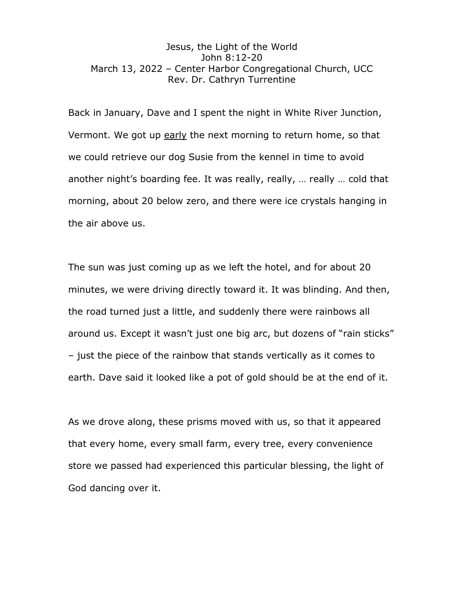## Jesus, the Light of the World John 8:12-20 March 13, 2022 – Center Harbor Congregational Church, UCC Rev. Dr. Cathryn Turrentine

Back in January, Dave and I spent the night in White River Junction, Vermont. We got up early the next morning to return home, so that we could retrieve our dog Susie from the kennel in time to avoid another night's boarding fee. It was really, really, … really … cold that morning, about 20 below zero, and there were ice crystals hanging in the air above us.

The sun was just coming up as we left the hotel, and for about 20 minutes, we were driving directly toward it. It was blinding. And then, the road turned just a little, and suddenly there were rainbows all around us. Except it wasn't just one big arc, but dozens of "rain sticks" – just the piece of the rainbow that stands vertically as it comes to earth. Dave said it looked like a pot of gold should be at the end of it.

As we drove along, these prisms moved with us, so that it appeared that every home, every small farm, every tree, every convenience store we passed had experienced this particular blessing, the light of God dancing over it.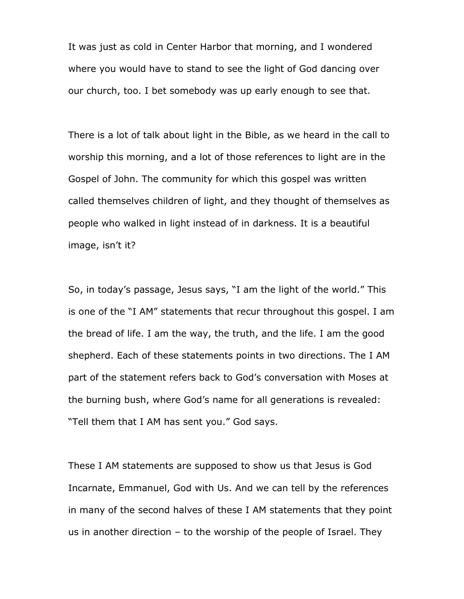It was just as cold in Center Harbor that morning, and I wondered where you would have to stand to see the light of God dancing over our church, too. I bet somebody was up early enough to see that.

There is a lot of talk about light in the Bible, as we heard in the call to worship this morning, and a lot of those references to light are in the Gospel of John. The community for which this gospel was written called themselves children of light, and they thought of themselves as people who walked in light instead of in darkness. It is a beautiful image, isn't it?

So, in today's passage, Jesus says, "I am the light of the world." This is one of the "I AM" statements that recur throughout this gospel. I am the bread of life. I am the way, the truth, and the life. I am the good shepherd. Each of these statements points in two directions. The I AM part of the statement refers back to God's conversation with Moses at the burning bush, where God's name for all generations is revealed: "Tell them that I AM has sent you." God says.

These I AM statements are supposed to show us that Jesus is God Incarnate, Emmanuel, God with Us. And we can tell by the references in many of the second halves of these I AM statements that they point us in another direction – to the worship of the people of Israel. They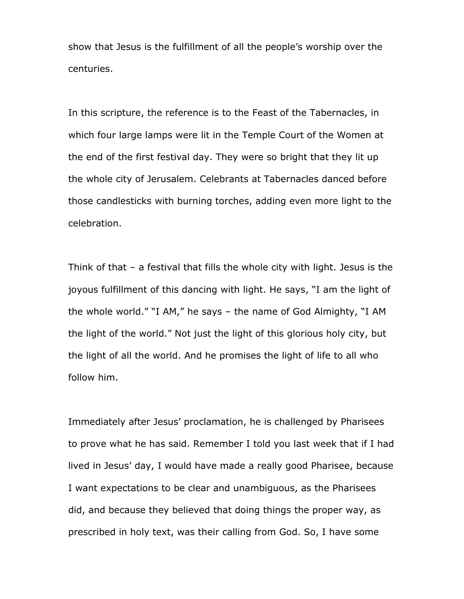show that Jesus is the fulfillment of all the people's worship over the centuries.

In this scripture, the reference is to the Feast of the Tabernacles, in which four large lamps were lit in the Temple Court of the Women at the end of the first festival day. They were so bright that they lit up the whole city of Jerusalem. Celebrants at Tabernacles danced before those candlesticks with burning torches, adding even more light to the celebration.

Think of that – a festival that fills the whole city with light. Jesus is the joyous fulfillment of this dancing with light. He says, "I am the light of the whole world." "I AM," he says – the name of God Almighty, "I AM the light of the world." Not just the light of this glorious holy city, but the light of all the world. And he promises the light of life to all who follow him.

Immediately after Jesus' proclamation, he is challenged by Pharisees to prove what he has said. Remember I told you last week that if I had lived in Jesus' day, I would have made a really good Pharisee, because I want expectations to be clear and unambiguous, as the Pharisees did, and because they believed that doing things the proper way, as prescribed in holy text, was their calling from God. So, I have some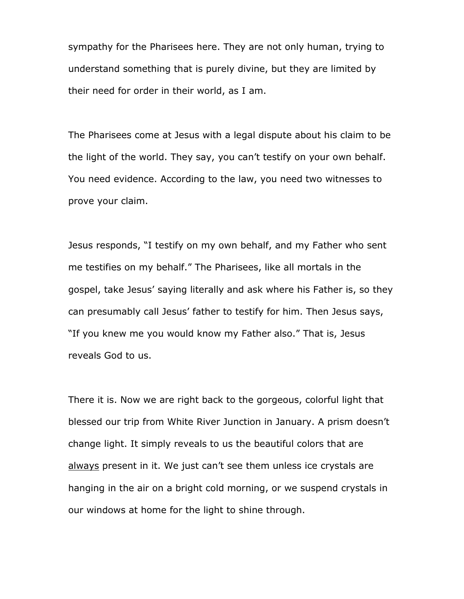sympathy for the Pharisees here. They are not only human, trying to understand something that is purely divine, but they are limited by their need for order in their world, as I am.

The Pharisees come at Jesus with a legal dispute about his claim to be the light of the world. They say, you can't testify on your own behalf. You need evidence. According to the law, you need two witnesses to prove your claim.

Jesus responds, "I testify on my own behalf, and my Father who sent me testifies on my behalf." The Pharisees, like all mortals in the gospel, take Jesus' saying literally and ask where his Father is, so they can presumably call Jesus' father to testify for him. Then Jesus says, "If you knew me you would know my Father also." That is, Jesus reveals God to us.

There it is. Now we are right back to the gorgeous, colorful light that blessed our trip from White River Junction in January. A prism doesn't change light. It simply reveals to us the beautiful colors that are always present in it. We just can't see them unless ice crystals are hanging in the air on a bright cold morning, or we suspend crystals in our windows at home for the light to shine through.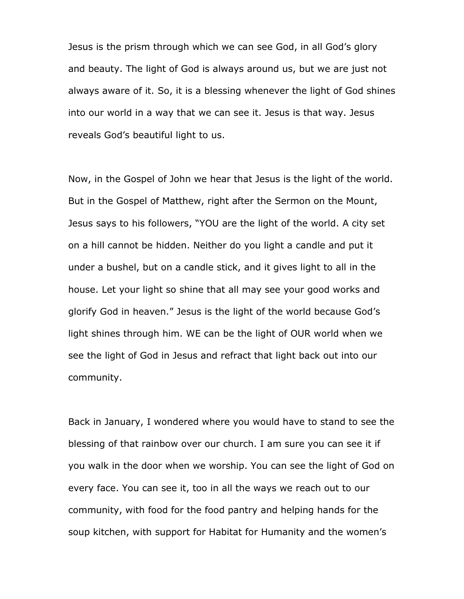Jesus is the prism through which we can see God, in all God's glory and beauty. The light of God is always around us, but we are just not always aware of it. So, it is a blessing whenever the light of God shines into our world in a way that we can see it. Jesus is that way. Jesus reveals God's beautiful light to us.

Now, in the Gospel of John we hear that Jesus is the light of the world. But in the Gospel of Matthew, right after the Sermon on the Mount, Jesus says to his followers, "YOU are the light of the world. A city set on a hill cannot be hidden. Neither do you light a candle and put it under a bushel, but on a candle stick, and it gives light to all in the house. Let your light so shine that all may see your good works and glorify God in heaven." Jesus is the light of the world because God's light shines through him. WE can be the light of OUR world when we see the light of God in Jesus and refract that light back out into our community.

Back in January, I wondered where you would have to stand to see the blessing of that rainbow over our church. I am sure you can see it if you walk in the door when we worship. You can see the light of God on every face. You can see it, too in all the ways we reach out to our community, with food for the food pantry and helping hands for the soup kitchen, with support for Habitat for Humanity and the women's